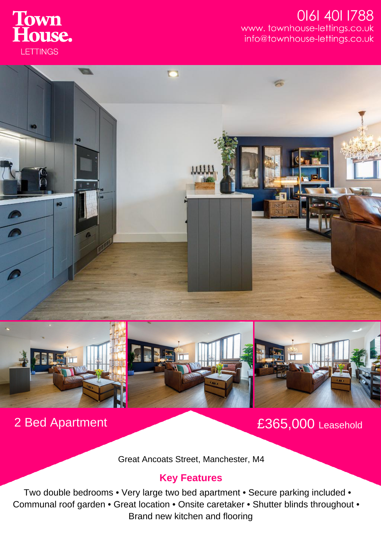

## 0161 401 1788 www.townhouse-lettings.co.uk info@townhouse-lettings.co.uk





2 Bed Apartment £365,000 Leasehold

Great Ancoats Street, Manchester, M4

## **Key Features**

Two double bedrooms • Very large two bed apartment • Secure parking included • Communal roof garden • Great location • Onsite caretaker • Shutter blinds throughout • Brand new kitchen and flooring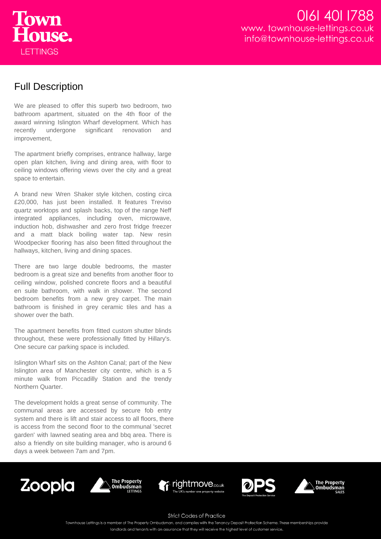

## Full Description

We are pleased to offer this superb two bedroom, two bathroom apartment, situated on the 4th floor of the award winning Islington Wharf development. Which has recently undergone significant renovation and improvement,

The apartment briefly comprises, entrance hallway, large open plan kitchen, living and dining area, with floor to ceiling windows offering views over the city and a great space to entertain.

A brand new Wren Shaker style kitchen, costing circa £20,000, has just been installed. It features Treviso quartz worktops and splash backs, top of the range Neff integrated appliances, including oven, microwave, induction hob, dishwasher and zero frost fridge freezer and a matt black boiling water tap. New resin Woodpecker flooring has also been fitted throughout the hallways, kitchen, living and dining spaces.

There are two large double bedrooms, the master bedroom is a great size and benefits from another floor to ceiling window, polished concrete floors and a beautiful en suite bathroom, with walk in shower. The second bedroom benefits from a new grey carpet. The main bathroom is finished in grey ceramic tiles and has a shower over the bath.

The apartment benefits from fitted custom shutter blinds throughout, these were professionally fitted by Hillary's. One secure car parking space is included.

Islington Wharf sits on the Ashton Canal; part of the New Islington area of Manchester city centre, which is a 5 minute walk from Piccadilly Station and the trendy Northern Quarter.

The development holds a great sense of community. The communal areas are accessed by secure fob entry system and there is lift and stair access to all floors, there is access from the second floor to the communal 'secret garden' with lawned seating area and bbq area. There is also a friendly on site building manager, who is around 6 days a week between 7am and 7pm.











**Strict Codes of Practice** 

Townhouse Lettings is a member of The Property Ombudsman, and complies with the Tenancy Deposit Protection Scheme. These memberships provide

landlords and tenants with an assurance that they will receive the highest level of customer service.